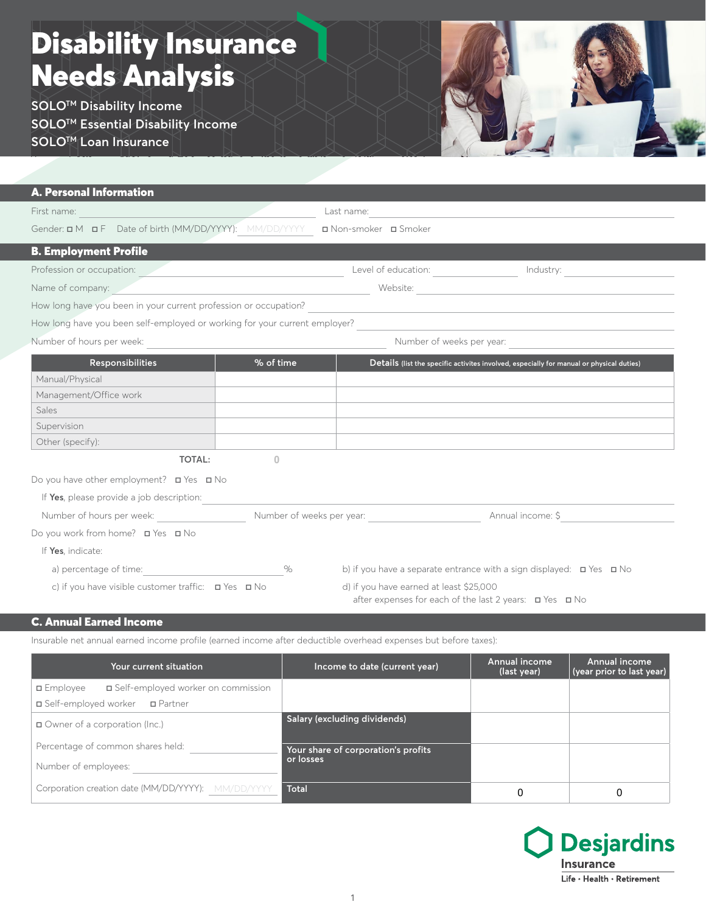## **Needs Analysis Warehouse** Disability Insurance

**SOLO™ Disability Income sOLO™ Essential Disability Income SOLOTM Loan Insurance**

| <b>A. Personal Information</b>                                             |                           |                                                                                                                                                                                                                                |                                                                                          |
|----------------------------------------------------------------------------|---------------------------|--------------------------------------------------------------------------------------------------------------------------------------------------------------------------------------------------------------------------------|------------------------------------------------------------------------------------------|
| First name:                                                                |                           | Last name:                                                                                                                                                                                                                     |                                                                                          |
| Gender: $\Box M$ $\Box F$ Date of birth (MM/DD/YYYY): MM/DD/YYYY           |                           | □ Non-smoker □ Smoker                                                                                                                                                                                                          |                                                                                          |
| <b>B. Employment Profile</b>                                               |                           |                                                                                                                                                                                                                                |                                                                                          |
| Profession or occupation:                                                  |                           | Level of education: Notified the set of the set of the set of the set of the set of the set of the set of the set of the set of the set of the set of the set of the set of the set of the set of the set of the set of the se | Industry:                                                                                |
| Name of company:                                                           |                           | Website:                                                                                                                                                                                                                       | the control of the control of the control of the control of                              |
| How long have you been in your current profession or occupation?           |                           |                                                                                                                                                                                                                                |                                                                                          |
| How long have you been self-employed or working for your current employer? |                           |                                                                                                                                                                                                                                |                                                                                          |
| Number of hours per week:                                                  | Number of weeks per year: |                                                                                                                                                                                                                                |                                                                                          |
| Responsibilities                                                           | % of time                 |                                                                                                                                                                                                                                | Details (list the specific activites involved, especially for manual or physical duties) |
| Manual/Physical                                                            |                           |                                                                                                                                                                                                                                |                                                                                          |
| Management/Office work                                                     |                           |                                                                                                                                                                                                                                |                                                                                          |
| Sales                                                                      |                           |                                                                                                                                                                                                                                |                                                                                          |
| Supervision                                                                |                           |                                                                                                                                                                                                                                |                                                                                          |
| Other (specify):                                                           |                           |                                                                                                                                                                                                                                |                                                                                          |
| <b>TOTAL:</b>                                                              | $\Omega$                  |                                                                                                                                                                                                                                |                                                                                          |
| Do you have other employment? $\Box$ Yes $\Box$ No                         |                           |                                                                                                                                                                                                                                |                                                                                          |
| If Yes, please provide a job description:                                  |                           |                                                                                                                                                                                                                                |                                                                                          |
| Number of hours per week:                                                  | Number of weeks per year: |                                                                                                                                                                                                                                | Annual income: \$                                                                        |
| Do you work from home? <b>□</b> Yes <b>□</b> No                            |                           |                                                                                                                                                                                                                                |                                                                                          |
| If Yes, indicate:                                                          |                           |                                                                                                                                                                                                                                |                                                                                          |
| a) percentage of time:                                                     | $\%$                      |                                                                                                                                                                                                                                | b) if you have a separate entrance with a sign displayed: $\Box$ Yes $\Box$ No           |
| c) if you have visible customer traffic: □ Yes □ No                        |                           | d) if you have earned at least \$25,000                                                                                                                                                                                        | after expenses for each of the last 2 years: $\Box$ Yes $\Box$ No                        |

## C. Annual Earned Income C. Annual Earned Income

Insurable net annual earned income profile (earned income after deductible overhead expenses but before taxes): Insurable net annual earned income profile (earned income after deductible overhead expenses but before taxes):

| Your current situation                                     | Income to date (current year)       | Annual income<br>(last year) | Annual income<br>(year prior to last year) |
|------------------------------------------------------------|-------------------------------------|------------------------------|--------------------------------------------|
| □ Self-employed worker on commission<br>$\square$ Employee |                                     |                              |                                            |
| □ Self-employed worker<br>□ Partner                        |                                     |                              |                                            |
| □ Owner of a corporation (Inc.)                            | Salary (excluding dividends)        |                              |                                            |
| Percentage of common shares held:                          | Your share of corporation's profits |                              |                                            |
| Number of employees:                                       | or losses                           |                              |                                            |
| Corporation creation date (MM/DD/YYYY): MM/DD/YYYY         | <b>Total</b>                        |                              | 0                                          |